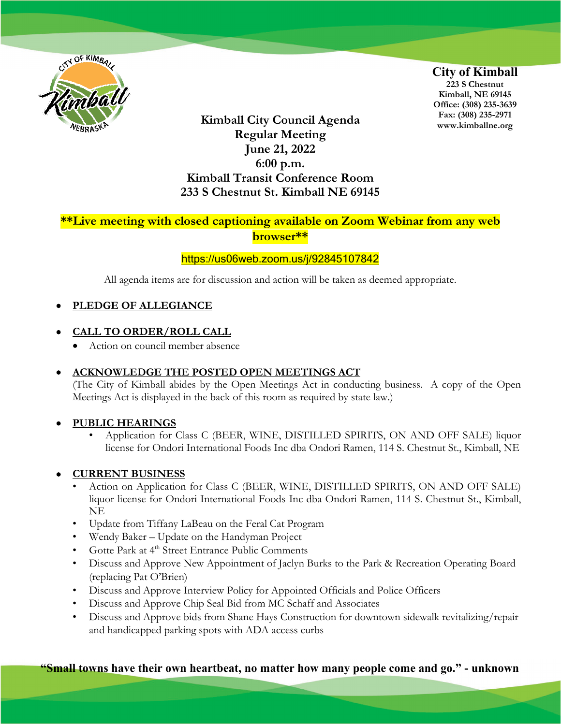

**Kimball City Council Agenda Regular Meeting June 21, 2022 6:00 p.m. Kimball Transit Conference Room 233 S Chestnut St. Kimball NE 69145** **City of Kimball 223 S Chestnut Kimball, NE 69145 Office: (308) 235-3639 Fax: (308) 235-2971 www.kimballne.org**

# **\*\*Live meeting with closed captioning available on Zoom Webinar from any web browser\*\***

### <https://us06web.zoom.us/j/92845107842>

All agenda items are for discussion and action will be taken as deemed appropriate.

### • **PLEDGE OF ALLEGIANCE**

### • **CALL TO ORDER/ROLL CALL**

• Action on council member absence

### • **ACKNOWLEDGE THE POSTED OPEN MEETINGS ACT**

(The City of Kimball abides by the Open Meetings Act in conducting business. A copy of the Open Meetings Act is displayed in the back of this room as required by state law.)

### • **PUBLIC HEARINGS**

• Application for Class C (BEER, WINE, DISTILLED SPIRITS, ON AND OFF SALE) liquor license for Ondori International Foods Inc dba Ondori Ramen, 114 S. Chestnut St., Kimball, NE

### • **CURRENT BUSINESS**

- Action on Application for Class C (BEER, WINE, DISTILLED SPIRITS, ON AND OFF SALE) liquor license for Ondori International Foods Inc dba Ondori Ramen, 114 S. Chestnut St., Kimball, NE
- Update from Tiffany LaBeau on the Feral Cat Program
- Wendy Baker Update on the Handyman Project
- Gotte Park at 4<sup>th</sup> Street Entrance Public Comments
- Discuss and Approve New Appointment of Jaclyn Burks to the Park & Recreation Operating Board (replacing Pat O'Brien)
- Discuss and Approve Interview Policy for Appointed Officials and Police Officers
- Discuss and Approve Chip Seal Bid from MC Schaff and Associates
- Discuss and Approve bids from Shane Hays Construction for downtown sidewalk revitalizing/repair and handicapped parking spots with ADA access curbs

**"Small towns have their own heartbeat, no matter how many people come and go." - unknown**